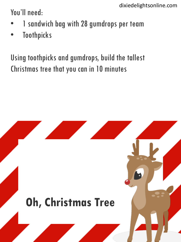You'll need:

- 1 sandwich bag with 28 gumdrops per team
- **Toothpicks**

Using toothpicks and gumdrops, build the tallest Christmas tree that you can in 10 minutes

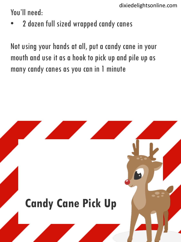You'll need:

2 dozen full sized wrapped candy canes

Not using your hands at all, put a candy cane in your mouth and use it as a hook to pick up and pile up as many candy canes as you can in 1 minute

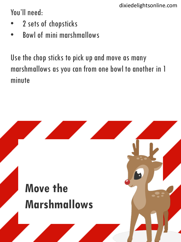You'll need:

- 2 sets of chopsticks
- Bowl of mini marshmallows

Use the chop sticks to pick up and move as many marshmallows as you can from one bowl to another in 1 minute

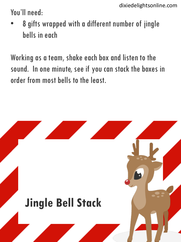You'll need:

• 8 gifts wrapped with a different number of jingle bells in each

Working as a team, shake each box and listen to the sound. In one minute, see if you can stack the boxes in order from most bells to the least.

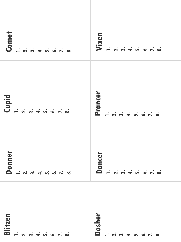| Comet                                                 | Vixen                    |
|-------------------------------------------------------|--------------------------|
| $ \alpha$ $\alpha$ $+$ $\alpha$ $\alpha$ $ \alpha$    |                          |
| Cupid                                                 | Prancer                  |
| $\overline{\phantom{a}}$                              | $\overline{\phantom{a}}$ |
|                                                       |                          |
| $Domner$<br>$ \alpha$ $\alpha$ $+$ $\alpha$ $ \alpha$ |                          |
|                                                       |                          |

**Blitzen 1. 2. 3. 4. 5. 6. 7. 8.**

**Dasher 1. 2. 3. 4. 5. 6. 7. 8.**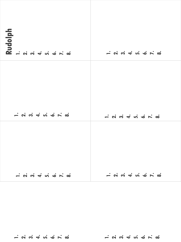| Rudolph |  |
|---------|--|
|         |  |
|         |  |

**1. 2. 3. 4. 5. 6. 7. 8. 1. 2. 3. 4. 5. 6. 7. 8.**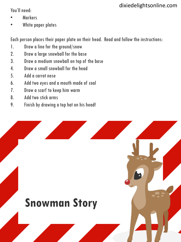You'll need:

- **Markers**
- White paper plates

Each person places their paper plate on their head. Read and follow the instructions:

- 1. Draw a line for the ground/snow
- 2. Draw a large snowball for the base
- 3. Draw a medium snowball on top of the base
- 4. Draw a small snowball for the head
- 5. Add a carrot nose
- 6. Add two eyes and a mouth made of coal
- 7. Draw a scarf to keep him warm
- 8. Add two stick arms
- 9. Finish by drawing a top hat on his head!

# **Snowman Story**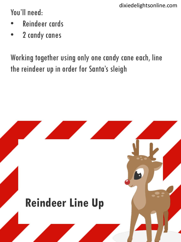You'll need:

- Reindeer cards
- 2 candy canes

Working together using only one candy cane each, line the reindeer up in order for Santa's sleigh

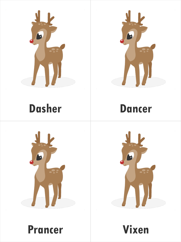



#### **Dasher**

#### **Dancer**





**Prancer Vixen**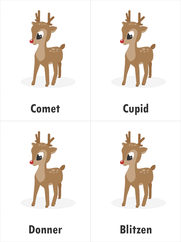



#### **Comet**

**Cupid**





**Donner Blitzen**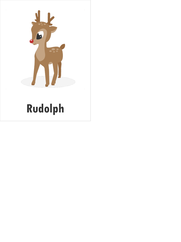

# **Rudolph**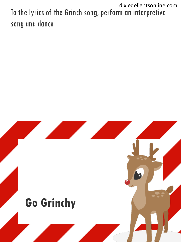To the lyrics of the Grinch song, perform an interpretive song and dance dixiedelightsonline.com

#### **Go Grinchy**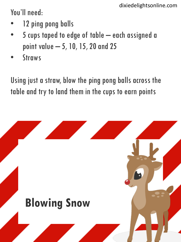You'll need:

- 12 ping pong balls
- 5 cups taped to edge of table each assigned a point value – 5, 10, 15, 20 and 25
- **Straws**

Using just a straw, blow the ping pong balls across the table and try to land them in the cups to earn points

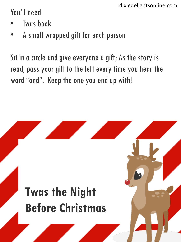You'll need:

- **Twas book**
- A small wrapped gift for each person

Sit in a circle and give everyone a gift; As the story is read, pass your gift to the left every time you hear the word "and". Keep the one you end up with!

# **Twas the Night Before Christmas**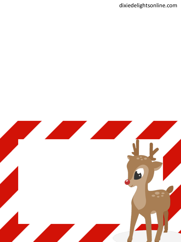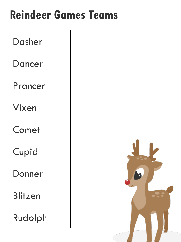# **Reindeer Games Teams**

| Dasher         |  |
|----------------|--|
| <b>Dancer</b>  |  |
| Prancer        |  |
| Vixen          |  |
| Comet          |  |
| Cupid          |  |
| Donner         |  |
| <b>Blitzen</b> |  |
| Rudolph        |  |
|                |  |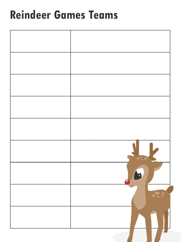#### **Reindeer Games Teams**

| $\bullet$ |
|-----------|
|           |
| H<br>Е.   |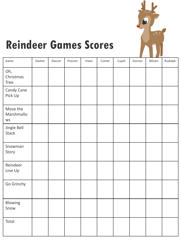

# **Reindeer Games Scores**

| Game                            | Dasher | Dancer | Prancer | Vixen | Comet | Cupid | Donner | Blitzen | Rudolph |
|---------------------------------|--------|--------|---------|-------|-------|-------|--------|---------|---------|
| Oh,<br>Christmas<br><b>Tree</b> |        |        |         |       |       |       |        |         |         |
| Candy Cane<br>Pick Up           |        |        |         |       |       |       |        |         |         |
| Move the<br>Marshmallo<br>WS    |        |        |         |       |       |       |        |         |         |
| Jingle Bell<br><b>Stack</b>     |        |        |         |       |       |       |        |         |         |
| Snowman<br>Story                |        |        |         |       |       |       |        |         |         |
| Reindeer<br>Line Up             |        |        |         |       |       |       |        |         |         |
| Go Grinchy                      |        |        |         |       |       |       |        |         |         |
| Blowing<br>Snow                 |        |        |         |       |       |       |        |         |         |
| Total                           |        |        |         |       |       |       |        |         |         |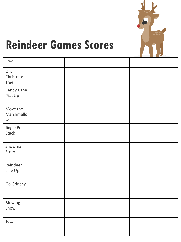

# **Reindeer Games Scores**

| Game                            |  |  |  |  |  |
|---------------------------------|--|--|--|--|--|
| Oh,<br>Christmas<br><b>Tree</b> |  |  |  |  |  |
| Candy Cane<br>Pick Up           |  |  |  |  |  |
| Move the<br>Marshmallo<br>WS    |  |  |  |  |  |
| Jingle Bell<br>Stack            |  |  |  |  |  |
| Snowman<br>Story                |  |  |  |  |  |
| Reindeer<br>Line Up             |  |  |  |  |  |
| Go Grinchy                      |  |  |  |  |  |
| Blowing<br>Snow                 |  |  |  |  |  |
| Total                           |  |  |  |  |  |